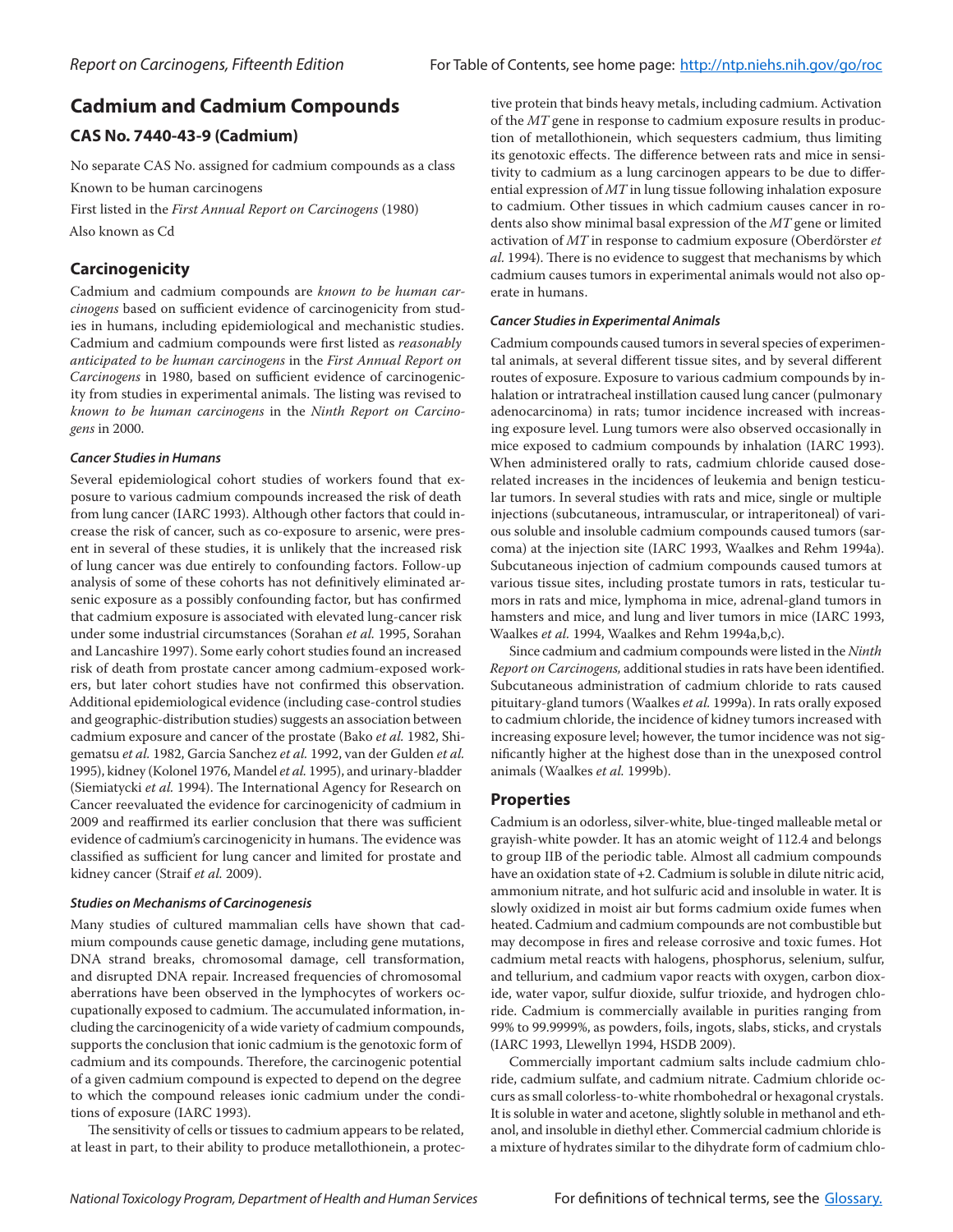# **Cadmium and Cadmium Compounds**

# **CAS No. 7440-43-9 (Cadmium)**

No separate CAS No. assigned for cadmium compounds as a class Known to be human carcinogens

First listed in the *First Annual Report on Carcinogens* (1980) Also known as Cd

# **Carcinogenicity**

Cadmium and cadmium compounds are *known to be human carcinogens* based on sufficient evidence of carcinogenicity from studies in humans, including epidemiological and mechanistic studies. Cadmium and cadmium compounds were first listed as *reasonably anticipated to be human carcinogens* in the *First Annual Report on Carcinogens* in 1980, based on sufficient evidence of carcinogenicity from studies in experimental animals. The listing was revised to *known to be human carcinogens* in the *Ninth Report on Carcinogens* in 2000.

# *Cancer Studies in Humans*

Several epidemiological cohort studies of workers found that exposure to various cadmium compounds increased the risk of death from lung cancer (IARC 1993). Although other factors that could increase the risk of cancer, such as co-exposure to arsenic, were present in several of these studies, it is unlikely that the increased risk of lung cancer was due entirely to confounding factors. Follow-up analysis of some of these cohorts has not definitively eliminated arsenic exposure as a possibly confounding factor, but has confirmed that cadmium exposure is associated with elevated lung-cancer risk under some industrial circumstances (Sorahan *et al.* 1995, Sorahan and Lancashire 1997). Some early cohort studies found an increased risk of death from prostate cancer among cadmium-exposed workers, but later cohort studies have not confirmed this observation. Additional epidemiological evidence (including case-control studies and geographic-distribution studies) suggests an association between cadmium exposure and cancer of the prostate (Bako *et al.* 1982, Shigematsu *et al.* 1982, Garcia Sanchez *et al.* 1992, van der Gulden *et al.* 1995), kidney (Kolonel 1976, Mandel *et al.* 1995), and urinary-bladder (Siemiatycki *et al.* 1994). The International Agency for Research on Cancer reevaluated the evidence for carcinogenicity of cadmium in 2009 and reaffirmed its earlier conclusion that there was sufficient evidence of cadmium's carcinogenicity in humans. The evidence was classified as sufficient for lung cancer and limited for prostate and kidney cancer (Straif *et al.* 2009).

## *Studies on Mechanisms of Carcinogenesis*

Many studies of cultured mammalian cells have shown that cadmium compounds cause genetic damage, including gene mutations, DNA strand breaks, chromosomal damage, cell transformation, and disrupted DNA repair. Increased frequencies of chromosomal aberrations have been observed in the lymphocytes of workers occupationally exposed to cadmium. The accumulated information, including the carcinogenicity of a wide variety of cadmium compounds, supports the conclusion that ionic cadmium is the genotoxic form of cadmium and its compounds. Therefore, the carcinogenic potential of a given cadmium compound is expected to depend on the degree to which the compound releases ionic cadmium under the conditions of exposure (IARC 1993).

The sensitivity of cells or tissues to cadmium appears to be related, at least in part, to their ability to produce metallothionein, a protec-

tive protein that binds heavy metals, including cadmium. Activation of the *MT* gene in response to cadmium exposure results in production of metallothionein, which sequesters cadmium, thus limiting its genotoxic effects. The difference between rats and mice in sensitivity to cadmium as a lung carcinogen appears to be due to differential expression of *MT* in lung tissue following inhalation exposure to cadmium. Other tissues in which cadmium causes cancer in rodents also show minimal basal expression of the *MT* gene or limited activation of *MT* in response to cadmium exposure (Oberdörster *et al.* 1994). There is no evidence to suggest that mechanisms by which cadmium causes tumors in experimental animals would not also operate in humans.

# *Cancer Studies in Experimental Animals*

Cadmium compounds caused tumors in several species of experimental animals, at several different tissue sites, and by several different routes of exposure. Exposure to various cadmium compounds by inhalation or intratracheal instillation caused lung cancer (pulmonary adenocarcinoma) in rats; tumor incidence increased with increasing exposure level. Lung tumors were also observed occasionally in mice exposed to cadmium compounds by inhalation (IARC 1993). When administered orally to rats, cadmium chloride caused doserelated increases in the incidences of leukemia and benign testicular tumors. In several studies with rats and mice, single or multiple injections (subcutaneous, intramuscular, or intraperitoneal) of various soluble and insoluble cadmium compounds caused tumors (sarcoma) at the injection site (IARC 1993, Waalkes and Rehm 1994a). Subcutaneous injection of cadmium compounds caused tumors at various tissue sites, including prostate tumors in rats, testicular tumors in rats and mice, lymphoma in mice, adrenal-gland tumors in hamsters and mice, and lung and liver tumors in mice (IARC 1993, Waalkes *et al.* 1994, Waalkes and Rehm 1994a,b,c).

Since cadmium and cadmium compounds were listed in the *Ninth Report on Carcinogens,* additional studies in rats have been identified. Subcutaneous administration of cadmium chloride to rats caused pituitary-gland tumors (Waalkes *et al.* 1999a). In rats orally exposed to cadmium chloride, the incidence of kidney tumors increased with increasing exposure level; however, the tumor incidence was not significantly higher at the highest dose than in the unexposed control animals (Waalkes *et al.* 1999b).

# **Properties**

Cadmium is an odorless, silver-white, blue-tinged malleable metal or grayish-white powder. It has an atomic weight of 112.4 and belongs to group IIB of the periodic table. Almost all cadmium compounds have an oxidation state of +2. Cadmium is soluble in dilute nitric acid, ammonium nitrate, and hot sulfuric acid and insoluble in water. It is slowly oxidized in moist air but forms cadmium oxide fumes when heated. Cadmium and cadmium compounds are not combustible but may decompose in fires and release corrosive and toxic fumes. Hot cadmium metal reacts with halogens, phosphorus, selenium, sulfur, and tellurium, and cadmium vapor reacts with oxygen, carbon dioxide, water vapor, sulfur dioxide, sulfur trioxide, and hydrogen chloride. Cadmium is commercially available in purities ranging from 99% to 99.9999%, as powders, foils, ingots, slabs, sticks, and crystals (IARC 1993, Llewellyn 1994, HSDB 2009).

Commercially important cadmium salts include cadmium chloride, cadmium sulfate, and cadmium nitrate. Cadmium chloride occurs as small colorless-to-white rhombohedral or hexagonal crystals. It is soluble in water and acetone, slightly soluble in methanol and ethanol, and insoluble in diethyl ether. Commercial cadmium chloride is a mixture of hydrates similar to the dihydrate form of cadmium chlo-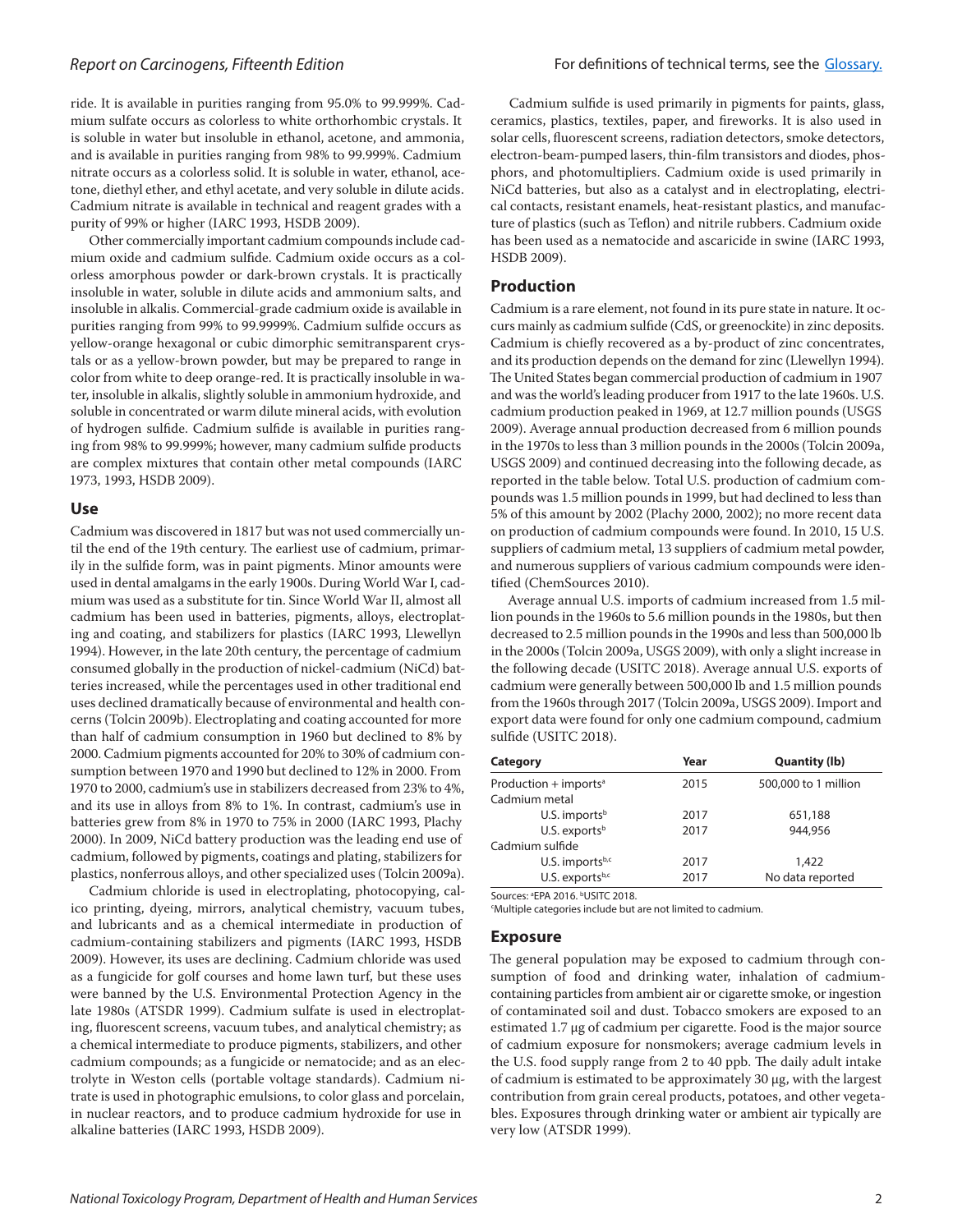ride. It is available in purities ranging from 95.0% to 99.999%. Cadmium sulfate occurs as colorless to white orthorhombic crystals. It is soluble in water but insoluble in ethanol, acetone, and ammonia, and is available in purities ranging from 98% to 99.999%. Cadmium nitrate occurs as a colorless solid. It is soluble in water, ethanol, acetone, diethyl ether, and ethyl acetate, and very soluble in dilute acids. Cadmium nitrate is available in technical and reagent grades with a purity of 99% or higher (IARC 1993, HSDB 2009).

Other commercially important cadmium compounds include cadmium oxide and cadmium sulfide. Cadmium oxide occurs as a colorless amorphous powder or dark-brown crystals. It is practically insoluble in water, soluble in dilute acids and ammonium salts, and insoluble in alkalis. Commercial-grade cadmium oxide is available in purities ranging from 99% to 99.9999%. Cadmium sulfide occurs as yellow-orange hexagonal or cubic dimorphic semitransparent crystals or as a yellow-brown powder, but may be prepared to range in color from white to deep orange-red. It is practically insoluble in water, insoluble in alkalis, slightly soluble in ammonium hydroxide, and soluble in concentrated or warm dilute mineral acids, with evolution of hydrogen sulfide. Cadmium sulfide is available in purities ranging from 98% to 99.999%; however, many cadmium sulfide products are complex mixtures that contain other metal compounds (IARC 1973, 1993, HSDB 2009).

## **Use**

Cadmium was discovered in 1817 but was not used commercially until the end of the 19th century. The earliest use of cadmium, primarily in the sulfide form, was in paint pigments. Minor amounts were used in dental amalgams in the early 1900s. During World War I, cadmium was used as a substitute for tin. Since World War II, almost all cadmium has been used in batteries, pigments, alloys, electroplating and coating, and stabilizers for plastics (IARC 1993, Llewellyn 1994). However, in the late 20th century, the percentage of cadmium consumed globally in the production of nickel-cadmium (NiCd) batteries increased, while the percentages used in other traditional end uses declined dramatically because of environmental and health concerns (Tolcin 2009b). Electroplating and coating accounted for more than half of cadmium consumption in 1960 but declined to 8% by 2000. Cadmium pigments accounted for 20% to 30% of cadmium consumption between 1970 and 1990 but declined to 12% in 2000. From 1970 to 2000, cadmium's use in stabilizers decreased from 23% to 4%, and its use in alloys from 8% to 1%. In contrast, cadmium's use in batteries grew from 8% in 1970 to 75% in 2000 (IARC 1993, Plachy 2000). In 2009, NiCd battery production was the leading end use of cadmium, followed by pigments, coatings and plating, stabilizers for plastics, nonferrous alloys, and other specialized uses (Tolcin 2009a).

Cadmium chloride is used in electroplating, photocopying, calico printing, dyeing, mirrors, analytical chemistry, vacuum tubes, and lubricants and as a chemical intermediate in production of cadmium-containing stabilizers and pigments (IARC 1993, HSDB 2009). However, its uses are declining. Cadmium chloride was used as a fungicide for golf courses and home lawn turf, but these uses were banned by the U.S. Environmental Protection Agency in the late 1980s (ATSDR 1999). Cadmium sulfate is used in electroplating, fluorescent screens, vacuum tubes, and analytical chemistry; as a chemical intermediate to produce pigments, stabilizers, and other cadmium compounds; as a fungicide or nematocide; and as an electrolyte in Weston cells (portable voltage standards). Cadmium nitrate is used in photographic emulsions, to color glass and porcelain, in nuclear reactors, and to produce cadmium hydroxide for use in alkaline batteries (IARC 1993, HSDB 2009).

Cadmium sulfide is used primarily in pigments for paints, glass, ceramics, plastics, textiles, paper, and fireworks. It is also used in solar cells, fluorescent screens, radiation detectors, smoke detectors, electron-beam-pumped lasers, thin-film transistors and diodes, phosphors, and photomultipliers. Cadmium oxide is used primarily in NiCd batteries, but also as a catalyst and in electroplating, electrical contacts, resistant enamels, heat-resistant plastics, and manufacture of plastics (such as Teflon) and nitrile rubbers. Cadmium oxide has been used as a nematocide and ascaricide in swine (IARC 1993, HSDB 2009).

#### **Production**

Cadmium is a rare element, not found in its pure state in nature. It occurs mainly as cadmium sulfide (CdS, or greenockite) in zinc deposits. Cadmium is chiefly recovered as a by-product of zinc concentrates, and its production depends on the demand for zinc (Llewellyn 1994). The United States began commercial production of cadmium in 1907 and was the world's leading producer from 1917 to the late 1960s. U.S. cadmium production peaked in 1969, at 12.7 million pounds (USGS 2009). Average annual production decreased from 6 million pounds in the 1970s to less than 3 million pounds in the 2000s (Tolcin 2009a, USGS 2009) and continued decreasing into the following decade, as reported in the table below. Total U.S. production of cadmium compounds was 1.5 million pounds in 1999, but had declined to less than 5% of this amount by 2002 (Plachy 2000, 2002); no more recent data on production of cadmium compounds were found. In 2010, 15 U.S. suppliers of cadmium metal, 13 suppliers of cadmium metal powder, and numerous suppliers of various cadmium compounds were identified (ChemSources 2010).

Average annual U.S. imports of cadmium increased from 1.5 million pounds in the 1960s to 5.6 million pounds in the 1980s, but then decreased to 2.5 million pounds in the 1990s and less than 500,000 lb in the 2000s (Tolcin 2009a, USGS 2009), with only a slight increase in the following decade (USITC 2018). Average annual U.S. exports of cadmium were generally between 500,000 lb and 1.5 million pounds from the 1960s through 2017 (Tolcin 2009a, USGS 2009). Import and export data were found for only one cadmium compound, cadmium sulfide (USITC 2018).

| Category                          | Year | <b>Quantity (lb)</b> |
|-----------------------------------|------|----------------------|
| Production + imports <sup>a</sup> | 2015 | 500,000 to 1 million |
| Cadmium metal                     |      |                      |
| U.S. imports $b$                  | 2017 | 651,188              |
| U.S. exports $b$                  | 2017 | 944,956              |
| Cadmium sulfide                   |      |                      |
| U.S. importsb,c                   | 2017 | 1,422                |
| U.S. exportsb,c                   | 2017 | No data reported     |

Sources: <sup>a</sup>EPA 2016. **bUSITC 2018**.

c Multiple categories include but are not limited to cadmium.

#### **Exposure**

The general population may be exposed to cadmium through consumption of food and drinking water, inhalation of cadmiumcontaining particles from ambient air or cigarette smoke, or ingestion of contaminated soil and dust. Tobacco smokers are exposed to an estimated 1.7 μg of cadmium per cigarette. Food is the major source of cadmium exposure for nonsmokers; average cadmium levels in the U.S. food supply range from 2 to 40 ppb. The daily adult intake of cadmium is estimated to be approximately 30 μg, with the largest contribution from grain cereal products, potatoes, and other vegetables. Exposures through drinking water or ambient air typically are very low (ATSDR 1999).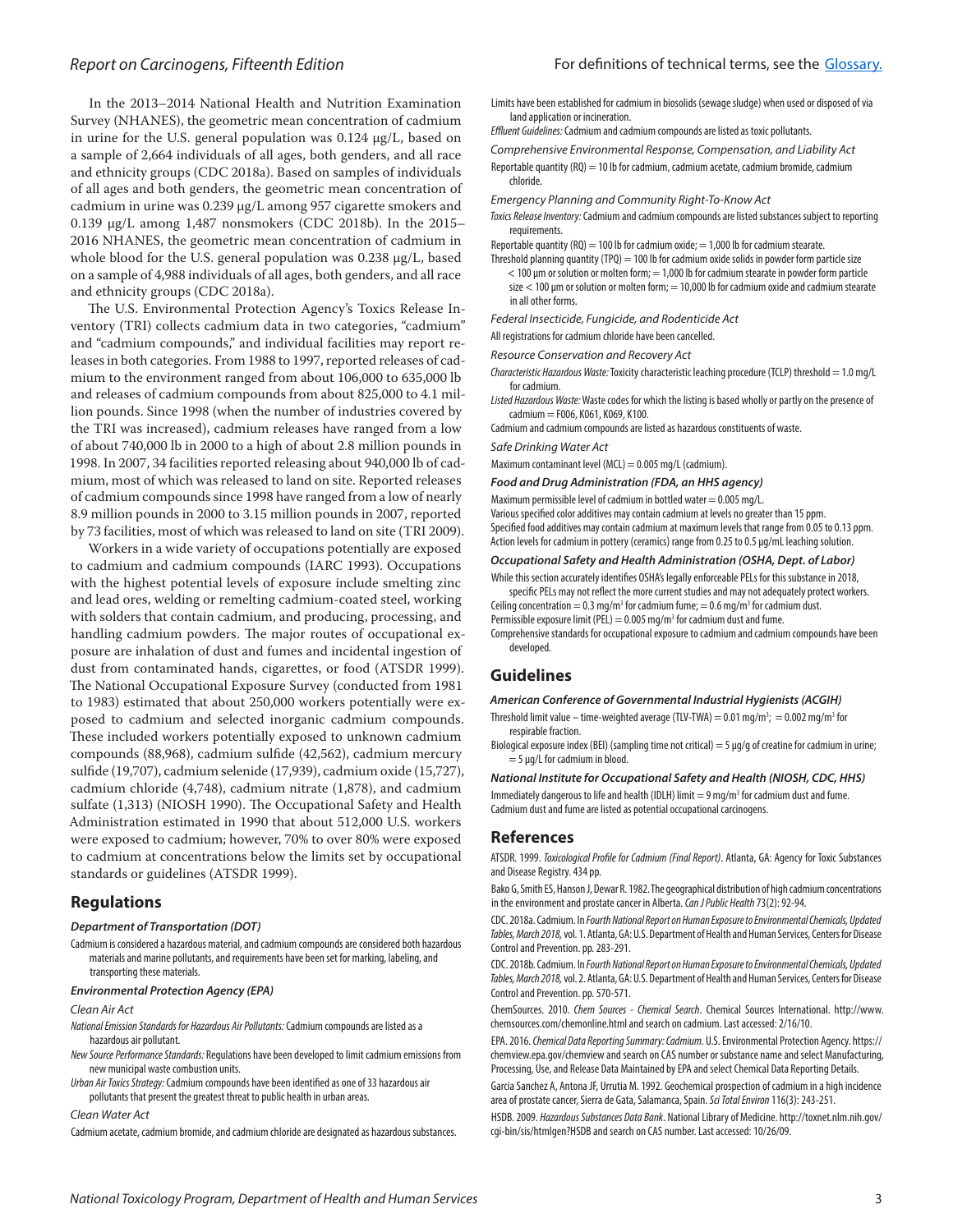In the 2013–2014 National Health and Nutrition Examination Survey (NHANES), the geometric mean concentration of cadmium in urine for the U.S. general population was 0.124 µg/L, based on a sample of 2,664 individuals of all ages, both genders, and all race and ethnicity groups (CDC 2018a). Based on samples of individuals of all ages and both genders, the geometric mean concentration of cadmium in urine was 0.239 µg/L among 957 cigarette smokers and 0.139 µg/L among 1,487 nonsmokers (CDC 2018b). In the 2015– 2016 NHANES, the geometric mean concentration of cadmium in whole blood for the U.S. general population was 0.238 µg/L, based on a sample of 4,988 individuals of all ages, both genders, and all race and ethnicity groups (CDC 2018a).

The U.S. Environmental Protection Agency's Toxics Release Inventory (TRI) collects cadmium data in two categories, "cadmium" and "cadmium compounds," and individual facilities may report releases in both categories. From 1988 to 1997, reported releases of cadmium to the environment ranged from about 106,000 to 635,000 lb and releases of cadmium compounds from about 825,000 to 4.1 million pounds. Since 1998 (when the number of industries covered by the TRI was increased), cadmium releases have ranged from a low of about 740,000 lb in 2000 to a high of about 2.8 million pounds in 1998. In 2007, 34 facilities reported releasing about 940,000 lb of cadmium, most of which was released to land on site. Reported releases of cadmium compounds since 1998 have ranged from a low of nearly 8.9 million pounds in 2000 to 3.15 million pounds in 2007, reported by 73 facilities, most of which was released to land on site (TRI 2009).

Workers in a wide variety of occupations potentially are exposed to cadmium and cadmium compounds (IARC 1993). Occupations with the highest potential levels of exposure include smelting zinc and lead ores, welding or remelting cadmium-coated steel, working with solders that contain cadmium, and producing, processing, and handling cadmium powders. The major routes of occupational exposure are inhalation of dust and fumes and incidental ingestion of dust from contaminated hands, cigarettes, or food (ATSDR 1999). The National Occupational Exposure Survey (conducted from 1981 to 1983) estimated that about 250,000 workers potentially were exposed to cadmium and selected inorganic cadmium compounds. These included workers potentially exposed to unknown cadmium compounds (88,968), cadmium sulfide (42,562), cadmium mercury sulfide (19,707), cadmium selenide (17,939), cadmium oxide (15,727), cadmium chloride (4,748), cadmium nitrate (1,878), and cadmium sulfate (1,313) (NIOSH 1990). The Occupational Safety and Health Administration estimated in 1990 that about 512,000 U.S. workers were exposed to cadmium; however, 70% to over 80% were exposed to cadmium at concentrations below the limits set by occupational standards or guidelines (ATSDR 1999).

### **Regulations**

#### *Department of Transportation (DOT)*

Cadmium is considered a hazardous material, and cadmium compounds are considered both hazardous materials and marine pollutants, and requirements have been set for marking, labeling, and transporting these materials.

#### *Environmental Protection Agency (EPA)*

#### *Clean Air Act*

- *National Emission Standards for Hazardous Air Pollutants:* Cadmium compounds are listed as a hazardous air pollutant.
- *New Source Performance Standards:* Regulations have been developed to limit cadmium emissions from new municipal waste combustion units.
- *Urban Air Toxics Strategy:* Cadmium compounds have been identified as one of 33 hazardous air pollutants that present the greatest threat to public health in urban areas.

#### *Clean Water Act*

Cadmium acetate, cadmium bromide, and cadmium chloride are designated as hazardous substances.

- Limits have been established for cadmium in biosolids (sewage sludge) when used or disposed of via land application or incineration.
- *Effluent Guidelines:* Cadmium and cadmium compounds are listed as toxic pollutants.
- *Comprehensive Environmental Response, Compensation, and Liability Act* Reportable quantity  $(RQ) = 10$  lb for cadmium, cadmium acetate, cadmium bromide, cadmium chloride.
- *Emergency Planning and Community Right-To-Know Act*
- *Toxics Release Inventory:* Cadmium and cadmium compounds are listed substances subject to reporting requirements.
- Reportable quantity (RQ) = 100 lb for cadmium oxide; = 1,000 lb for cadmium stearate.
- Threshold planning quantity (TPQ) = 100 lb for cadmium oxide solids in powder form particle size  $<$  100 µm or solution or molten form;  $=$  1,000 lb for cadmium stearate in powder form particle size  $<$  100 µm or solution or molten form;  $=$  10,000 lb for cadmium oxide and cadmium stearate in all other forms.
- *Federal Insecticide, Fungicide, and Rodenticide Act*
- All registrations for cadmium chloride have been cancelled.
- *Resource Conservation and Recovery Act*
- *Characteristic Hazardous Waste:* Toxicity characteristic leaching procedure (TCLP) threshold = 1.0 mg/L for cadmium.
- *Listed Hazardous Waste:* Waste codes for which the listing is based wholly or partly on the presence of cadmium = F006, K061, K069, K100.
- Cadmium and cadmium compounds are listed as hazardous constituents of waste.

#### *Safe Drinking Water Act*

Maximum contaminant level (MCL) =  $0.005$  mg/L (cadmium).

*Food and Drug Administration (FDA, an HHS agency)*

Maximum permissible level of cadmium in bottled water  $= 0.005$  mg/L.

Various specified color additives may contain cadmium at levels no greater than 15 ppm. Specified food additives may contain cadmium at maximum levels that range from 0.05 to 0.13 ppm. Action levels for cadmium in pottery (ceramics) range from 0.25 to 0.5 µg/mL leaching solution.

### *Occupational Safety and Health Administration (OSHA, Dept. of Labor)*

While this section accurately identifies OSHA's legally enforceable PELs for this substance in 2018, specific PELs may not reflect the more current studies and may not adequately protect workers. Ceiling concentration = 0.3 mg/m<sup>3</sup> for cadmium fume; = 0.6 mg/m<sup>3</sup> for cadmium dust.

Permissible exposure limit (PEL) =  $0.005$  mg/m<sup>3</sup> for cadmium dust and fume.

Comprehensive standards for occupational exposure to cadmium and cadmium compounds have been developed.

## **Guidelines**

#### *American Conference of Governmental Industrial Hygienists (ACGIH)*

Threshold limit value – time-weighted average (TLV-TWA) = 0.01 mg/m<sup>3</sup>; = 0.002 mg/m<sup>3</sup> for respirable fraction.

Biological exposure index (BEI) (sampling time not critical) =  $5 \mu$ g/g of creatine for cadmium in urine;  $=$  5  $\mu$ g/L for cadmium in blood.

*National Institute for Occupational Safety and Health (NIOSH, CDC, HHS)* Immediately dangerous to life and health (IDLH) limit = 9 mg/m<sup>3</sup> for cadmium dust and fume. Cadmium dust and fume are listed as potential occupational carcinogens.

#### **References**

ATSDR. 1999. *Toxicological Profile for Cadmium (Final Report)*. Atlanta, GA: Agency for Toxic Substances and Disease Registry. 434 pp.

Bako G, Smith ES, Hanson J, Dewar R. 1982. The geographical distribution of high cadmium concentrations in the environment and prostate cancer in Alberta. *Can J Public Health* 73(2): 92-94.

CDC. 2018a. Cadmium. In *Fourth National Report on Human Exposure to Environmental Chemicals, Updated Tables, March 2018,* vol. 1. Atlanta, GA: U.S. Department of Health and Human Services, Centers for Disease Control and Prevention. pp. 283-291.

CDC. 2018b. Cadmium. In *Fourth National Report on Human Exposure to Environmental Chemicals, Updated Tables, March 2018,* vol. 2. Atlanta, GA: U.S. Department of Health and Human Services, Centers for Disease Control and Prevention. pp. 570-571.

ChemSources. 2010. *Chem Sources - Chemical Search*. Chemical Sources International. http://www. chemsources.com/chemonline.html and search on cadmium. Last accessed: 2/16/10.

EPA. 2016. *Chemical Data Reporting Summary: Cadmium.* U.S. Environmental Protection Agency. https:// chemview.epa.gov/chemview and search on CAS number or substance name and select Manufacturing, Processing, Use, and Release Data Maintained by EPA and select Chemical Data Reporting Details.

Garcia Sanchez A, Antona JF, Urrutia M. 1992. Geochemical prospection of cadmium in a high incidence area of prostate cancer, Sierra de Gata, Salamanca, Spain. *Sci Total Environ* 116(3): 243-251.

HSDB. 2009. *Hazardous Substances Data Bank*. National Library of Medicine. http://toxnet.nlm.nih.gov/ cgi-bin/sis/htmlgen?HSDB and search on CAS number. Last accessed: 10/26/09.